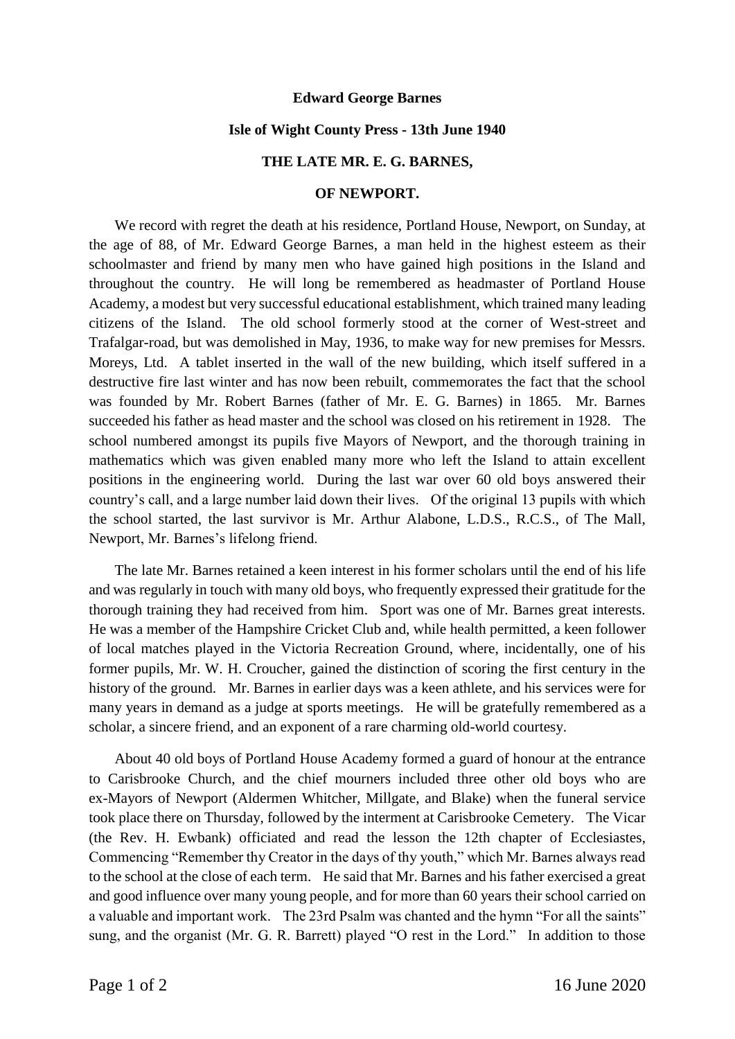## **Edward George Barnes**

#### **Isle of Wight County Press - 13th June 1940**

## **THE LATE MR. E. G. BARNES,**

#### **OF NEWPORT.**

We record with regret the death at his residence, Portland House, Newport, on Sunday, at the age of 88, of Mr. Edward George Barnes, a man held in the highest esteem as their schoolmaster and friend by many men who have gained high positions in the Island and throughout the country. He will long be remembered as headmaster of Portland House Academy, a modest but very successful educational establishment, which trained many leading citizens of the Island. The old school formerly stood at the corner of West-street and Trafalgar-road, but was demolished in May, 1936, to make way for new premises for Messrs. Moreys, Ltd. A tablet inserted in the wall of the new building, which itself suffered in a destructive fire last winter and has now been rebuilt, commemorates the fact that the school was founded by Mr. Robert Barnes (father of Mr. E. G. Barnes) in 1865. Mr. Barnes succeeded his father as head master and the school was closed on his retirement in 1928. The school numbered amongst its pupils five Mayors of Newport, and the thorough training in mathematics which was given enabled many more who left the Island to attain excellent positions in the engineering world. During the last war over 60 old boys answered their country's call, and a large number laid down their lives. Of the original 13 pupils with which the school started, the last survivor is Mr. Arthur Alabone, L.D.S., R.C.S., of The Mall, Newport, Mr. Barnes's lifelong friend.

The late Mr. Barnes retained a keen interest in his former scholars until the end of his life and was regularly in touch with many old boys, who frequently expressed their gratitude for the thorough training they had received from him. Sport was one of Mr. Barnes great interests. He was a member of the Hampshire Cricket Club and, while health permitted, a keen follower of local matches played in the Victoria Recreation Ground, where, incidentally, one of his former pupils, Mr. W. H. Croucher, gained the distinction of scoring the first century in the history of the ground. Mr. Barnes in earlier days was a keen athlete, and his services were for many years in demand as a judge at sports meetings. He will be gratefully remembered as a scholar, a sincere friend, and an exponent of a rare charming old-world courtesy.

About 40 old boys of Portland House Academy formed a guard of honour at the entrance to Carisbrooke Church, and the chief mourners included three other old boys who are ex-Mayors of Newport (Aldermen Whitcher, Millgate, and Blake) when the funeral service took place there on Thursday, followed by the interment at Carisbrooke Cemetery. The Vicar (the Rev. H. Ewbank) officiated and read the lesson the 12th chapter of Ecclesiastes, Commencing "Remember thy Creator in the days of thy youth," which Mr. Barnes always read to the school at the close of each term. He said that Mr. Barnes and his father exercised a great and good influence over many young people, and for more than 60 years their school carried on a valuable and important work. The 23rd Psalm was chanted and the hymn "For all the saints" sung, and the organist (Mr. G. R. Barrett) played "O rest in the Lord." In addition to those